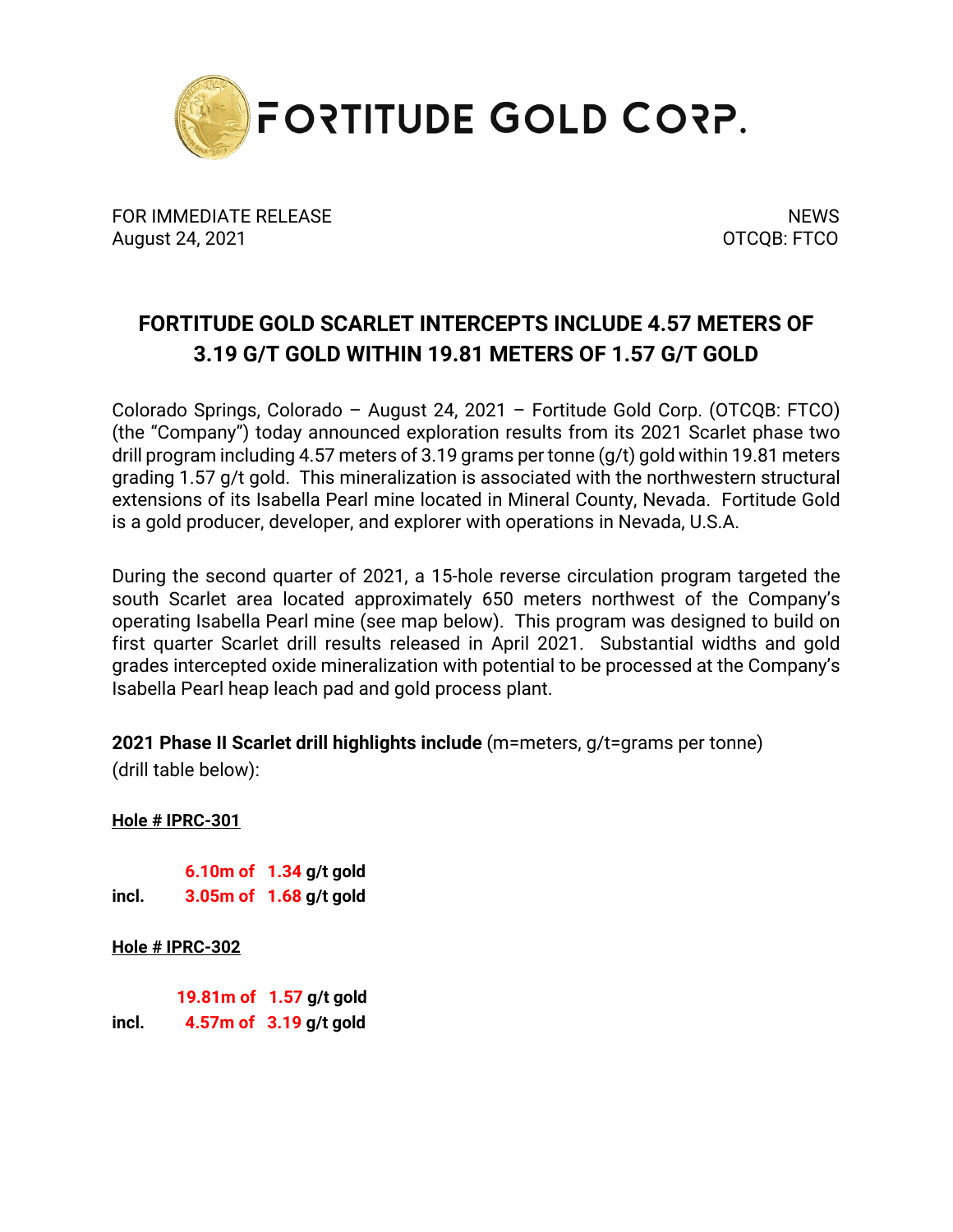

FOR IMMEDIATE RELEASE NEWS SERVICE AND THE MEMORY OF STATE AND THE MEMORY SERVICE AND THE MEMORY OF STATE AND THE MEMORY OF STATE AND THE MEMORY OF STATE AND THE MEMORY OF STATE AND THE MEMORY OF STATE AND THE MEMORY OF ST August 24, 2021 **OTCQB: FTCO** 

## **FORTITUDE GOLD SCARLET INTERCEPTS INCLUDE 4.57 METERS OF 3.19 G/T GOLD WITHIN 19.81 METERS OF 1.57 G/T GOLD**

Colorado Springs, Colorado – August 24, 2021 – Fortitude Gold Corp. (OTCQB: FTCO) (the "Company") today announced exploration results from its 2021 Scarlet phase two drill program including 4.57 meters of 3.19 grams per tonne (g/t) gold within 19.81 meters grading 1.57 g/t gold. This mineralization is associated with the northwestern structural extensions of its Isabella Pearl mine located in Mineral County, Nevada. Fortitude Gold is a gold producer, developer, and explorer with operations in Nevada, U.S.A.

During the second quarter of 2021, a 15-hole reverse circulation program targeted the south Scarlet area located approximately 650 meters northwest of the Company's operating Isabella Pearl mine (see map below). This program was designed to build on first quarter Scarlet drill results released in April 2021. Substantial widths and gold grades intercepted oxide mineralization with potential to be processed at the Company's Isabella Pearl heap leach pad and gold process plant.

**2021 Phase II Scarlet drill highlights include** (m=meters, g/t=grams per tonne) (drill table below):

**Hole # IPRC-301**

 **6.10m of 1.34 g/t gold incl. 3.05m of 1.68 g/t gold**

**Hole # IPRC-302**

 **19.81m of 1.57 g/t gold incl. 4.57m of 3.19 g/t gold**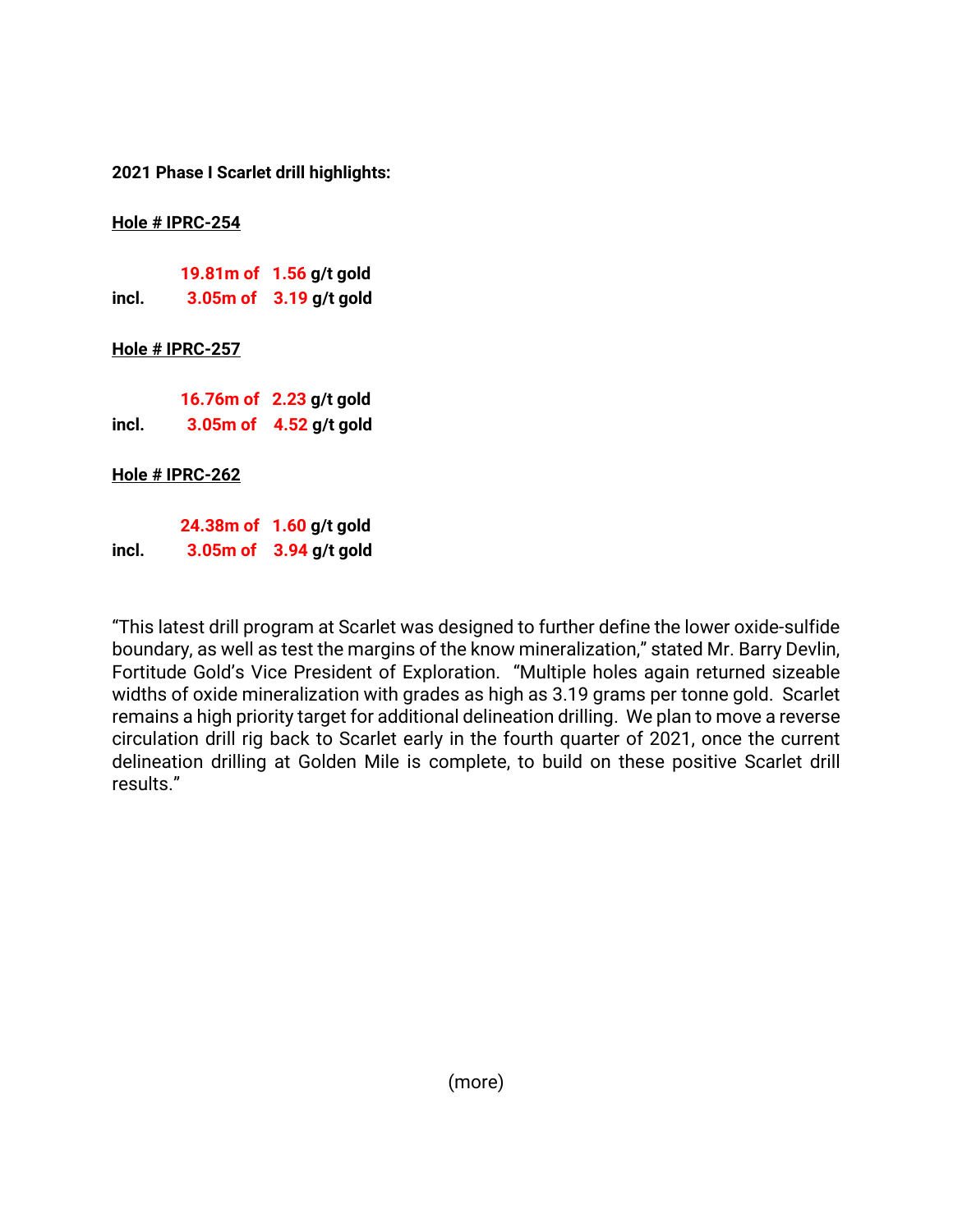**2021 Phase I Scarlet drill highlights:**

**Hole # IPRC-254**

|       | 19.81m of 1.56 g/t gold    |
|-------|----------------------------|
| incl. | $3.05m$ of $3.19$ g/t gold |

## **Hole # IPRC-257**

|       | 16.76m of 2.23 g/t gold    |
|-------|----------------------------|
| incl. | $3.05m$ of $4.52$ g/t gold |

**Hole # IPRC-262**

 **24.38m of 1.60 g/t gold incl. 3.05m of 3.94 g/t gold**

"This latest drill program at Scarlet was designed to further define the lower oxide-sulfide boundary, as well as test the margins of the know mineralization," stated Mr. Barry Devlin, Fortitude Gold's Vice President of Exploration. "Multiple holes again returned sizeable widths of oxide mineralization with grades as high as 3.19 grams per tonne gold. Scarlet remains a high priority target for additional delineation drilling. We plan to move a reverse circulation drill rig back to Scarlet early in the fourth quarter of 2021, once the current delineation drilling at Golden Mile is complete, to build on these positive Scarlet drill results."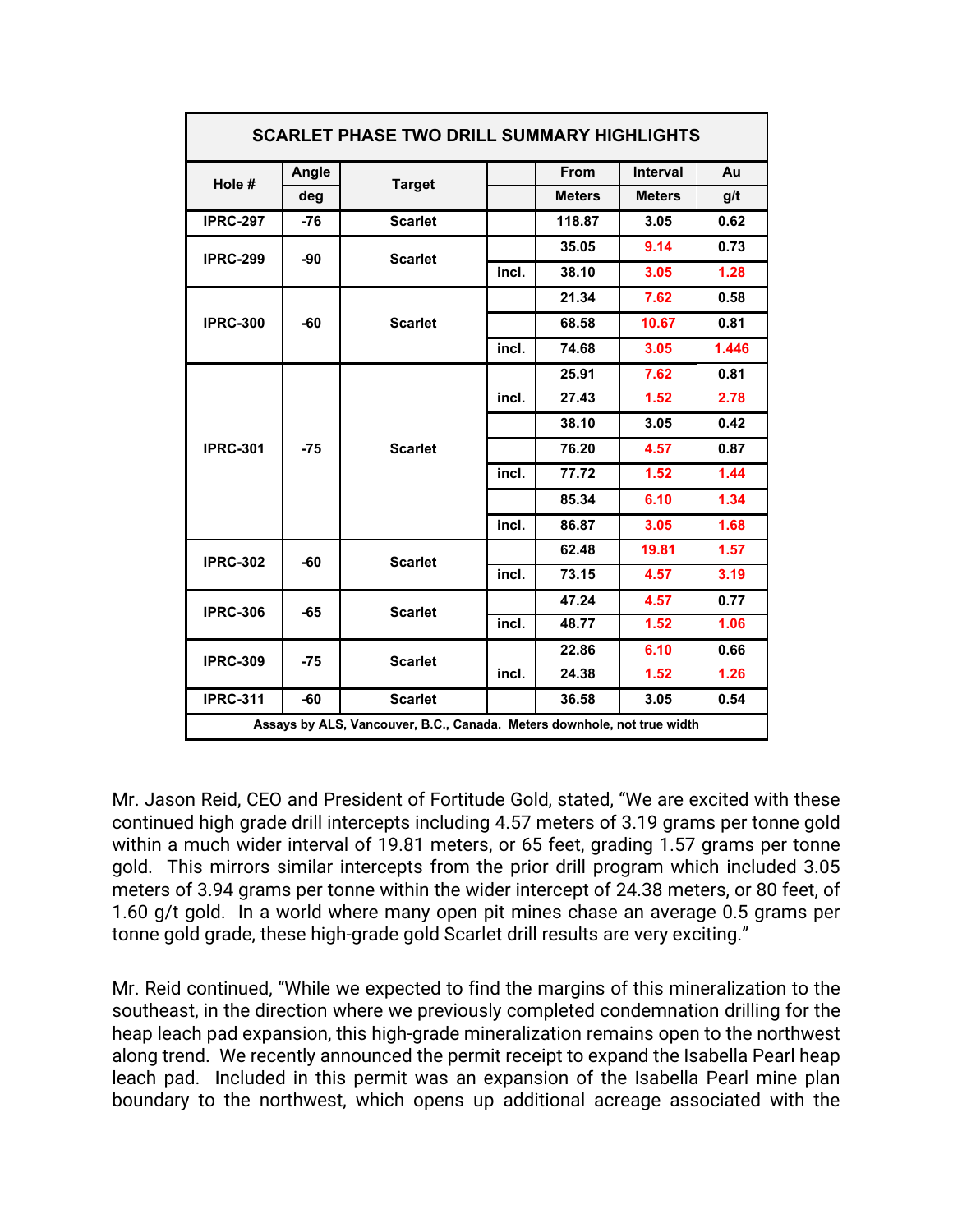| <b>SCARLET PHASE TWO DRILL SUMMARY HIGHLIGHTS</b>                       |       |                |       |               |                 |       |  |  |
|-------------------------------------------------------------------------|-------|----------------|-------|---------------|-----------------|-------|--|--|
| Hole #                                                                  | Angle | <b>Target</b>  |       | From          | <b>Interval</b> | Au    |  |  |
|                                                                         | deg   |                |       | <b>Meters</b> | <b>Meters</b>   | g/t   |  |  |
| <b>IPRC-297</b>                                                         | $-76$ | <b>Scarlet</b> |       | 118.87        | 3.05            | 0.62  |  |  |
| <b>IPRC-299</b>                                                         | -90   | <b>Scarlet</b> |       | 35.05         | 9.14            | 0.73  |  |  |
|                                                                         |       |                | incl. | 38.10         | 3.05            | 1.28  |  |  |
| <b>IPRC-300</b>                                                         | $-60$ | <b>Scarlet</b> |       | 21.34         | 7.62            | 0.58  |  |  |
|                                                                         |       |                |       | 68.58         | 10.67           | 0.81  |  |  |
|                                                                         |       |                | incl. | 74.68         | 3.05            | 1.446 |  |  |
| <b>IPRC-301</b>                                                         | $-75$ | <b>Scarlet</b> |       | 25.91         | 7.62            | 0.81  |  |  |
|                                                                         |       |                | incl. | 27.43         | 1.52            | 2.78  |  |  |
|                                                                         |       |                |       | 38.10         | 3.05            | 0.42  |  |  |
|                                                                         |       |                |       | 76.20         | 4.57            | 0.87  |  |  |
|                                                                         |       |                | incl. | 77.72         | 1.52            | 1.44  |  |  |
|                                                                         |       |                |       | 85.34         | 6.10            | 1.34  |  |  |
|                                                                         |       |                | incl. | 86.87         | 3.05            | 1.68  |  |  |
| <b>IPRC-302</b>                                                         | -60   | <b>Scarlet</b> |       | 62.48         | 19.81           | 1.57  |  |  |
|                                                                         |       |                | incl. | 73.15         | 4.57            | 3.19  |  |  |
| <b>IPRC-306</b>                                                         | $-65$ | <b>Scarlet</b> |       | 47.24         | 4.57            | 0.77  |  |  |
|                                                                         |       |                | incl. | 48.77         | 1.52            | 1.06  |  |  |
| <b>IPRC-309</b>                                                         | -75   | <b>Scarlet</b> |       | 22.86         | 6.10            | 0.66  |  |  |
|                                                                         |       |                | incl. | 24.38         | 1.52            | 1.26  |  |  |
| <b>IPRC-311</b>                                                         | $-60$ | <b>Scarlet</b> |       | 36.58         | 3.05            | 0.54  |  |  |
| Assays by ALS, Vancouver, B.C., Canada. Meters downhole, not true width |       |                |       |               |                 |       |  |  |

Mr. Jason Reid, CEO and President of Fortitude Gold, stated, "We are excited with these continued high grade drill intercepts including 4.57 meters of 3.19 grams per tonne gold within a much wider interval of 19.81 meters, or 65 feet, grading 1.57 grams per tonne gold. This mirrors similar intercepts from the prior drill program which included 3.05 meters of 3.94 grams per tonne within the wider intercept of 24.38 meters, or 80 feet, of 1.60 g/t gold. In a world where many open pit mines chase an average 0.5 grams per tonne gold grade, these high-grade gold Scarlet drill results are very exciting."

Mr. Reid continued, "While we expected to find the margins of this mineralization to the southeast, in the direction where we previously completed condemnation drilling for the heap leach pad expansion, this high-grade mineralization remains open to the northwest along trend. We recently announced the permit receipt to expand the Isabella Pearl heap leach pad. Included in this permit was an expansion of the Isabella Pearl mine plan boundary to the northwest, which opens up additional acreage associated with the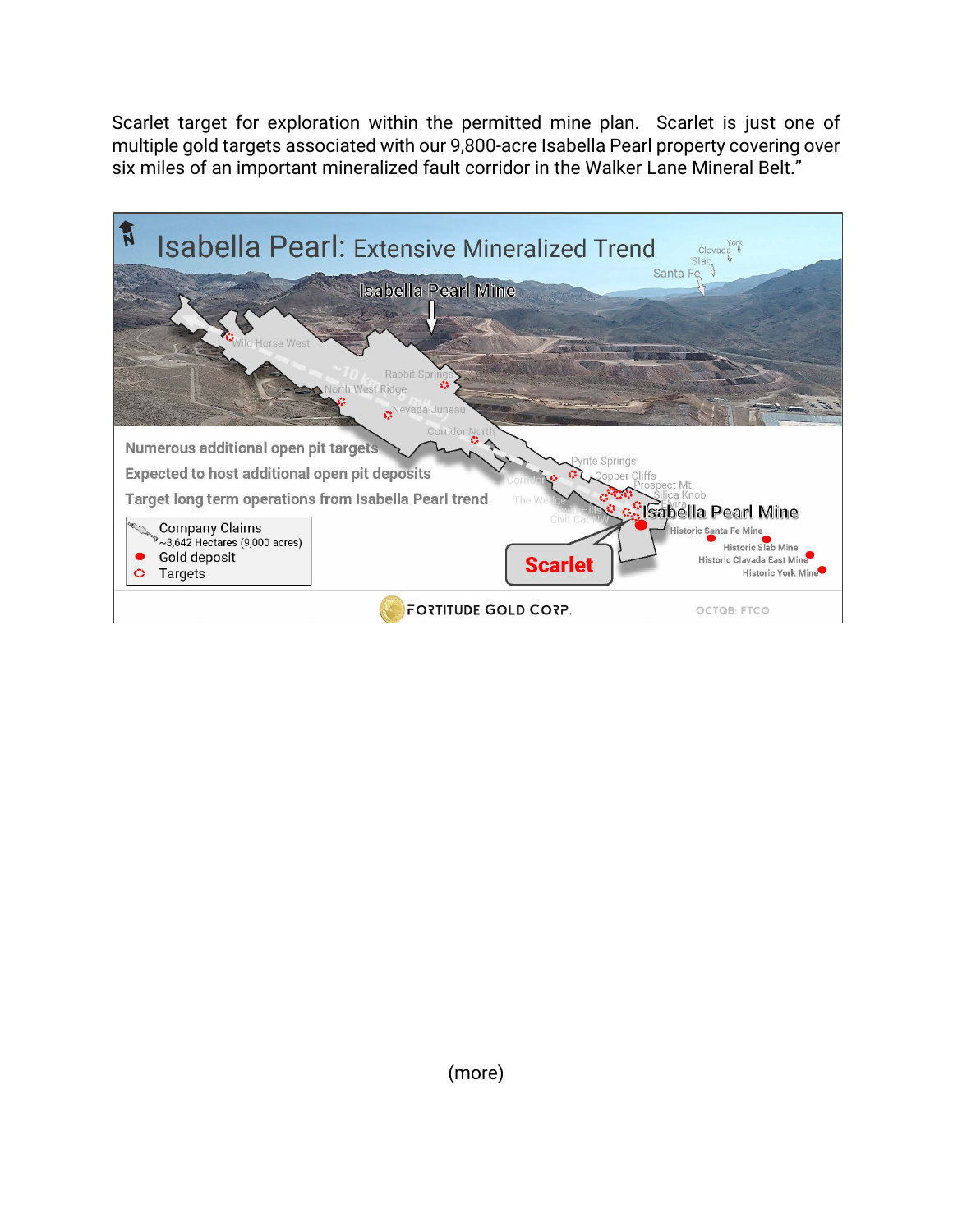Scarlet target for exploration within the permitted mine plan. Scarlet is just one of multiple gold targets associated with our 9,800-acre Isabella Pearl property covering over six miles of an important mineralized fault corridor in the Walker Lane Mineral Belt."

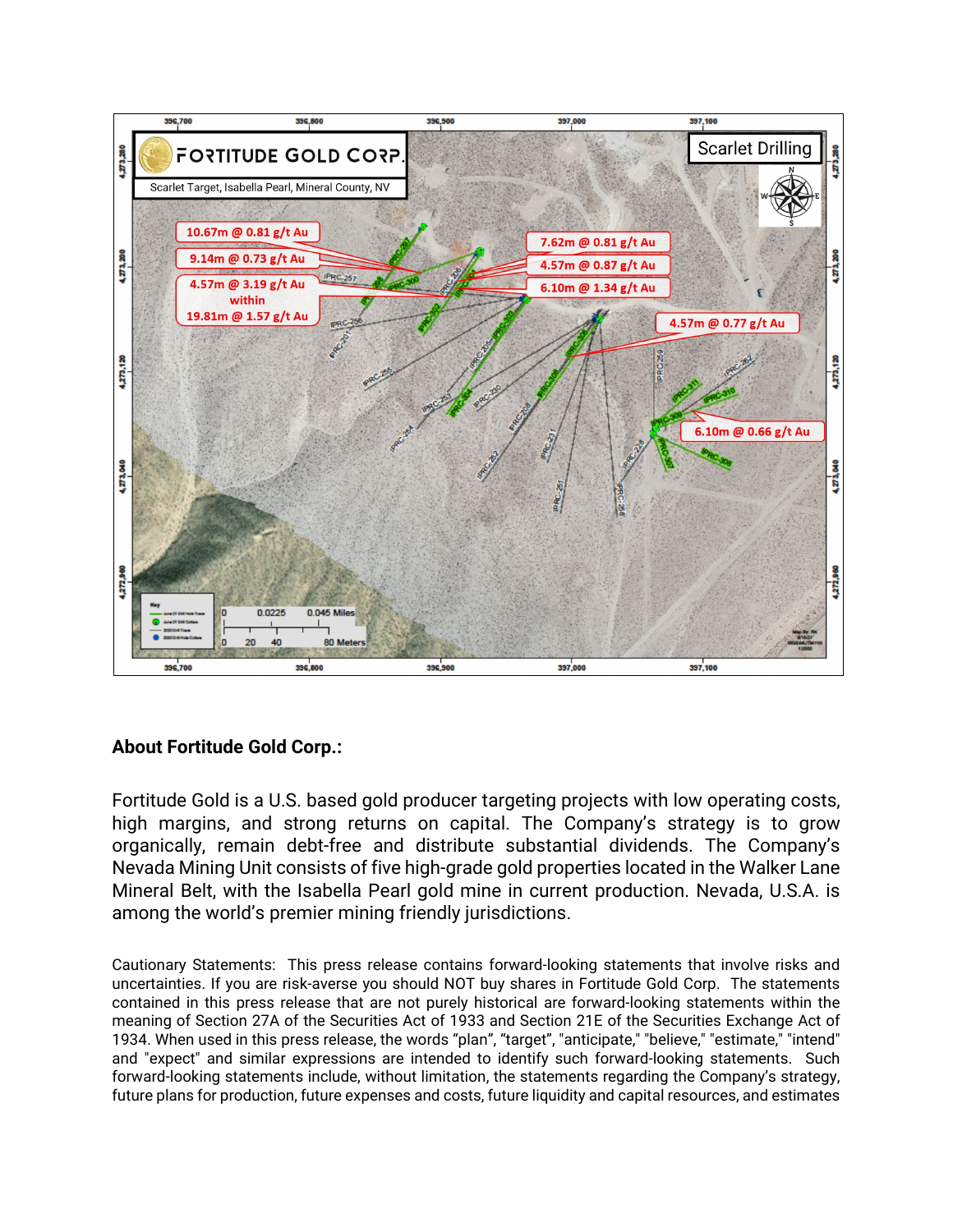

## **About Fortitude Gold Corp.:**

Fortitude Gold is a U.S. based gold producer targeting projects with low operating costs, high margins, and strong returns on capital. The Company's strategy is to grow organically, remain debt-free and distribute substantial dividends. The Company's Nevada Mining Unit consists of five high-grade gold properties located in the Walker Lane Mineral Belt, with the Isabella Pearl gold mine in current production. Nevada, U.S.A. is among the world's premier mining friendly jurisdictions.

Cautionary Statements: This press release contains forward-looking statements that involve risks and uncertainties. If you are risk-averse you should NOT buy shares in Fortitude Gold Corp. The statements contained in this press release that are not purely historical are forward-looking statements within the meaning of Section 27A of the Securities Act of 1933 and Section 21E of the Securities Exchange Act of 1934. When used in this press release, the words "plan", "target", "anticipate," "believe," "estimate," "intend" and "expect" and similar expressions are intended to identify such forward-looking statements. Such forward-looking statements include, without limitation, the statements regarding the Company's strategy, future plans for production, future expenses and costs, future liquidity and capital resources, and estimates